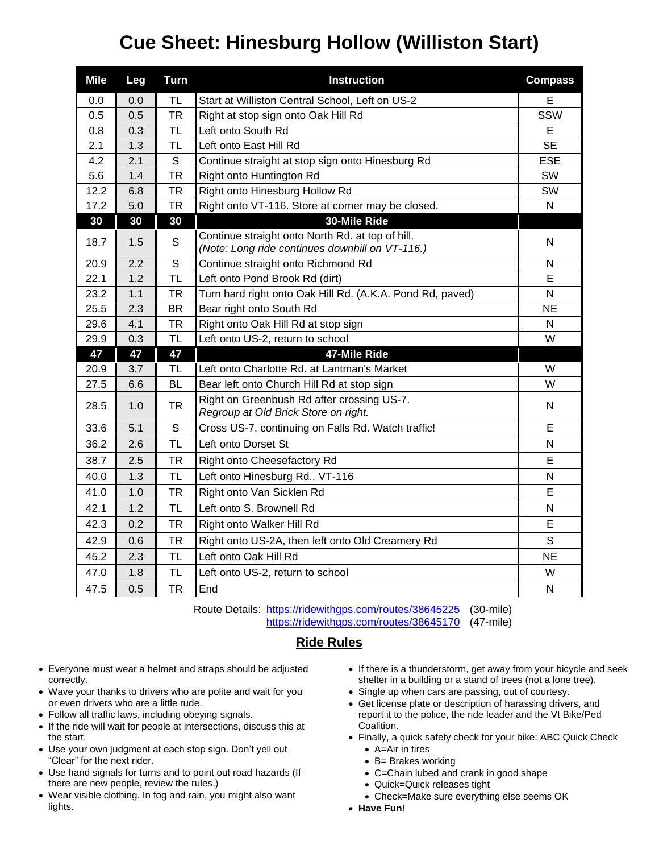## **Cue Sheet: Hinesburg Hollow (Williston Start)**

| <b>Mile</b> | Leg | <b>Turn</b>  | <b>Instruction</b>                                                                                  | <b>Compass</b> |
|-------------|-----|--------------|-----------------------------------------------------------------------------------------------------|----------------|
| 0.0         | 0.0 | <b>TL</b>    | Start at Williston Central School, Left on US-2                                                     | E              |
| 0.5         | 0.5 | <b>TR</b>    | Right at stop sign onto Oak Hill Rd                                                                 | SSW            |
| 0.8         | 0.3 | <b>TL</b>    | Left onto South Rd                                                                                  | Е              |
| 2.1         | 1.3 | <b>TL</b>    | Left onto East Hill Rd                                                                              | <b>SE</b>      |
| 4.2         | 2.1 | $\mathsf{S}$ | Continue straight at stop sign onto Hinesburg Rd                                                    | <b>ESE</b>     |
| 5.6         | 1.4 | <b>TR</b>    | Right onto Huntington Rd                                                                            | SW             |
| 12.2        | 6.8 | <b>TR</b>    | Right onto Hinesburg Hollow Rd                                                                      | SW             |
| 17.2        | 5.0 | <b>TR</b>    | Right onto VT-116. Store at corner may be closed.                                                   | $\mathsf{N}$   |
| 30          | 30  | 30           | 30-Mile Ride                                                                                        |                |
| 18.7        | 1.5 | S            | Continue straight onto North Rd. at top of hill.<br>(Note: Long ride continues downhill on VT-116.) | N              |
| 20.9        | 2.2 | S            | Continue straight onto Richmond Rd                                                                  | N              |
| 22.1        | 1.2 | <b>TL</b>    | Left onto Pond Brook Rd (dirt)                                                                      | E              |
| 23.2        | 1.1 | <b>TR</b>    | Turn hard right onto Oak Hill Rd. (A.K.A. Pond Rd, paved)                                           | N              |
| 25.5        | 2.3 | <b>BR</b>    | Bear right onto South Rd                                                                            | <b>NE</b>      |
| 29.6        | 4.1 | <b>TR</b>    | Right onto Oak Hill Rd at stop sign                                                                 | $\mathsf{N}$   |
| 29.9        | 0.3 | <b>TL</b>    | Left onto US-2, return to school                                                                    | W              |
| 47          | 47  | 47           | 47-Mile Ride                                                                                        |                |
| 20.9        | 3.7 | TL           | Left onto Charlotte Rd. at Lantman's Market                                                         | W              |
| 27.5        | 6.6 | <b>BL</b>    | Bear left onto Church Hill Rd at stop sign                                                          | W              |
| 28.5        | 1.0 | TR.          | Right on Greenbush Rd after crossing US-7.<br>Regroup at Old Brick Store on right.                  | N              |
| 33.6        | 5.1 | S            | Cross US-7, continuing on Falls Rd. Watch traffic!                                                  | E              |
| 36.2        | 2.6 | <b>TL</b>    | Left onto Dorset St                                                                                 | $\mathsf{N}$   |
| 38.7        | 2.5 | <b>TR</b>    | Right onto Cheesefactory Rd                                                                         | E              |
| 40.0        | 1.3 | <b>TL</b>    | Left onto Hinesburg Rd., VT-116                                                                     | N              |
| 41.0        | 1.0 | <b>TR</b>    | Right onto Van Sicklen Rd                                                                           | E              |
| 42.1        | 1.2 | <b>TL</b>    | Left onto S. Brownell Rd                                                                            | $\mathsf{N}$   |
| 42.3        | 0.2 | <b>TR</b>    | Right onto Walker Hill Rd                                                                           | E              |
| 42.9        | 0.6 | <b>TR</b>    | Right onto US-2A, then left onto Old Creamery Rd                                                    | S              |
| 45.2        | 2.3 | <b>TL</b>    | Left onto Oak Hill Rd                                                                               | <b>NE</b>      |
| 47.0        | 1.8 | <b>TL</b>    | Left onto US-2, return to school                                                                    | W              |
| 47.5        | 0.5 | <b>TR</b>    | End                                                                                                 | $\mathsf{N}$   |

Route Details: <https://ridewithgps.com/routes/38645225> (30-mile) <https://ridewithgps.com/routes/38645170> (47-mile)

## **Ride Rules**

- Everyone must wear a helmet and straps should be adjusted correctly.
- Wave your thanks to drivers who are polite and wait for you or even drivers who are a little rude.
- Follow all traffic laws, including obeying signals.
- If the ride will wait for people at intersections, discuss this at the start.
- Use your own judgment at each stop sign. Don't yell out "Clear" for the next rider.
- Use hand signals for turns and to point out road hazards (If there are new people, review the rules.)
- Wear visible clothing. In fog and rain, you might also want lights.
- If there is a thunderstorm, get away from your bicycle and seek shelter in a building or a stand of trees (not a lone tree).
- Single up when cars are passing, out of courtesy.
- Get license plate or description of harassing drivers, and report it to the police, the ride leader and the Vt Bike/Ped Coalition.
- Finally, a quick safety check for your bike: ABC Quick Check • A=Air in tires
	- B= Brakes working
	- C=Chain lubed and crank in good shape
	- Quick=Quick releases tight
	- Check=Make sure everything else seems OK
- **Have Fun!**